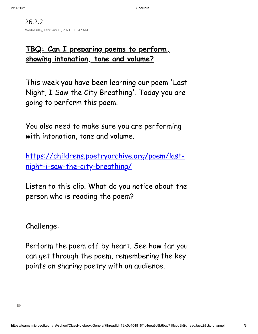26.2.21 Wednesday, February 10, 2021 10:47 AM

## **TBQ: Can I preparing poems to perform, showing intonation, tone and volume?**

This week you have been learning our poem 'Last Night, I Saw the City Breathing '. Today you are going to perform this poem.

You also need to make sure you are performing with intonation, tone and volume.

https://childrens.poetryarchive.org/poem/last[night-i-saw-the-city-breathing/](https://childrens.poetryarchive.org/poem/last-night-i-saw-the-city-breathing/)

Listen to this clip. What do you notice about the person who is reading the poem?

Challenge:

Perform the poem off by heart. See how far you can get through the poem, remembering the key points on sharing poetry with an audience.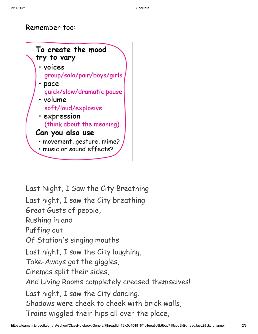## Remember too:



Last Night, I Saw the City Breathing Last night, I saw the City breathing Great Gusts of people, Rushing in and Puffing out Of Station 's singing mouths Last night, I saw the City laughing, Take-Aways got the giggles, Cinemas split their sides, And Living Rooms completely creased themselves! Last night, I saw the City dancing. Shadows were cheek to cheek with brick walls, Trains wiggled their hips all over the place,